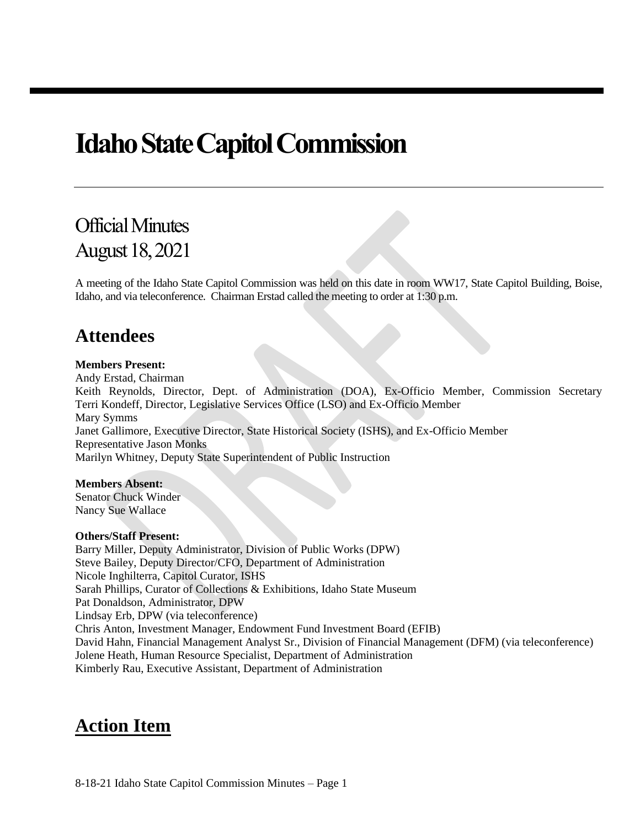# **Idaho State Capitol Commission**

# Official Minutes August 18, 2021

A meeting of the Idaho State Capitol Commission was held on this date in room WW17, State Capitol Building, Boise, Idaho, and via teleconference. Chairman Erstad called the meeting to order at 1:30 p.m.

# **Attendees**

#### **Members Present:**

Andy Erstad, Chairman Keith Reynolds, Director, Dept. of Administration (DOA), Ex-Officio Member, Commission Secretary Terri Kondeff, Director, Legislative Services Office (LSO) and Ex-Officio Member Mary Symms Janet Gallimore, Executive Director, State Historical Society (ISHS), and Ex-Officio Member Representative Jason Monks Marilyn Whitney, Deputy State Superintendent of Public Instruction

#### **Members Absent:**

Senator Chuck Winder Nancy Sue Wallace

#### **Others/Staff Present:**

Barry Miller, Deputy Administrator, Division of Public Works (DPW) Steve Bailey, Deputy Director/CFO, Department of Administration Nicole Inghilterra, Capitol Curator, ISHS Sarah Phillips, Curator of Collections & Exhibitions, Idaho State Museum Pat Donaldson, Administrator, DPW Lindsay Erb, DPW (via teleconference) Chris Anton, Investment Manager, Endowment Fund Investment Board (EFIB) David Hahn, Financial Management Analyst Sr., Division of Financial Management (DFM) (via teleconference) Jolene Heath, Human Resource Specialist, Department of Administration Kimberly Rau, Executive Assistant, Department of Administration

# **Action Item**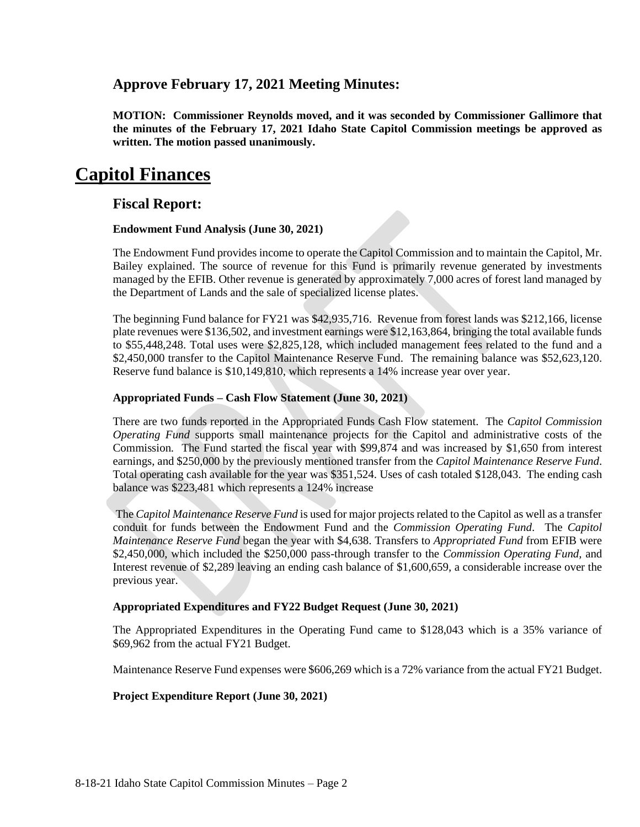### **Approve February 17, 2021 Meeting Minutes:**

**MOTION: Commissioner Reynolds moved, and it was seconded by Commissioner Gallimore that the minutes of the February 17, 2021 Idaho State Capitol Commission meetings be approved as written. The motion passed unanimously.**

# **Capitol Finances**

#### **Fiscal Report:**

#### **Endowment Fund Analysis (June 30, 2021)**

The Endowment Fund provides income to operate the Capitol Commission and to maintain the Capitol, Mr. Bailey explained. The source of revenue for this Fund is primarily revenue generated by investments managed by the EFIB. Other revenue is generated by approximately 7,000 acres of forest land managed by the Department of Lands and the sale of specialized license plates.

The beginning Fund balance for FY21 was \$42,935,716. Revenue from forest lands was \$212,166, license plate revenues were \$136,502, and investment earnings were \$12,163,864, bringing the total available funds to \$55,448,248. Total uses were \$2,825,128, which included management fees related to the fund and a \$2,450,000 transfer to the Capitol Maintenance Reserve Fund. The remaining balance was \$52,623,120. Reserve fund balance is \$10,149,810, which represents a 14% increase year over year.

#### **Appropriated Funds – Cash Flow Statement (June 30, 2021)**

There are two funds reported in the Appropriated Funds Cash Flow statement. The *Capitol Commission Operating Fund* supports small maintenance projects for the Capitol and administrative costs of the Commission. The Fund started the fiscal year with \$99,874 and was increased by \$1,650 from interest earnings, and \$250,000 by the previously mentioned transfer from the *Capitol Maintenance Reserve Fund*. Total operating cash available for the year was \$351,524. Uses of cash totaled \$128,043. The ending cash balance was \$223,481 which represents a 124% increase

The *Capitol Maintenance Reserve Fund* is used for major projects related to the Capitol as well as a transfer conduit for funds between the Endowment Fund and the *Commission Operating Fund*. The *Capitol Maintenance Reserve Fund* began the year with \$4,638. Transfers to *Appropriated Fund* from EFIB were \$2,450,000, which included the \$250,000 pass-through transfer to the *Commission Operating Fund,* and Interest revenue of \$2,289 leaving an ending cash balance of \$1,600,659, a considerable increase over the previous year.

#### **Appropriated Expenditures and FY22 Budget Request (June 30, 2021)**

The Appropriated Expenditures in the Operating Fund came to \$128,043 which is a 35% variance of \$69,962 from the actual FY21 Budget.

Maintenance Reserve Fund expenses were \$606,269 which is a 72% variance from the actual FY21 Budget.

#### **Project Expenditure Report (June 30, 2021)**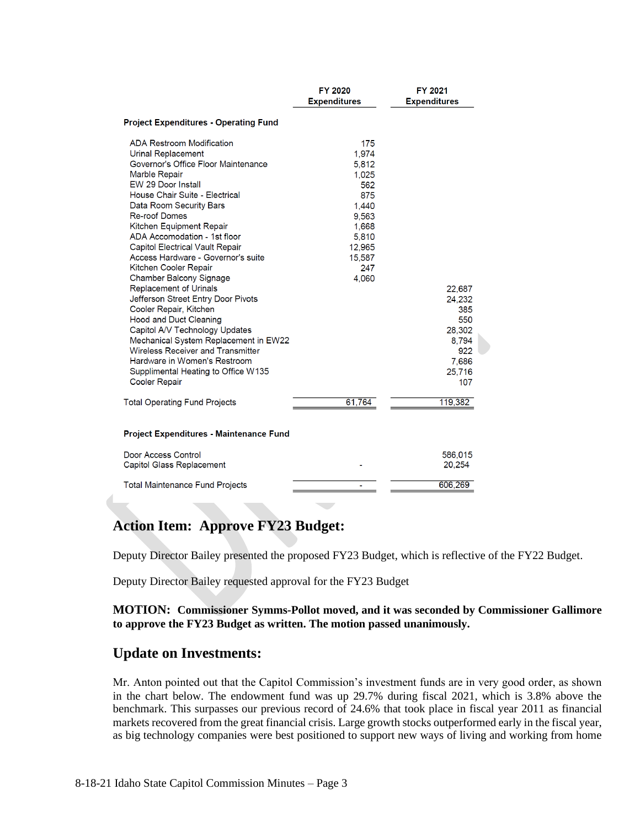|                                                                                                                                                                                                                                                                                                                                                                                                                                                                                                                                                                                                                                                                                                                                                                                          | FY 2020<br><b>Expenditures</b>                                                                                       | FY 2021<br><b>Expenditures</b>                                                     |  |  |  |  |  |  |
|------------------------------------------------------------------------------------------------------------------------------------------------------------------------------------------------------------------------------------------------------------------------------------------------------------------------------------------------------------------------------------------------------------------------------------------------------------------------------------------------------------------------------------------------------------------------------------------------------------------------------------------------------------------------------------------------------------------------------------------------------------------------------------------|----------------------------------------------------------------------------------------------------------------------|------------------------------------------------------------------------------------|--|--|--|--|--|--|
| <b>Project Expenditures - Operating Fund</b>                                                                                                                                                                                                                                                                                                                                                                                                                                                                                                                                                                                                                                                                                                                                             |                                                                                                                      |                                                                                    |  |  |  |  |  |  |
| <b>ADA Restroom Modification</b><br><b>Urinal Replacement</b><br>Governor's Office Floor Maintenance<br>Marble Repair<br>EW 29 Door Install<br>House Chair Suite - Electrical<br>Data Room Security Bars<br><b>Re-roof Domes</b><br>Kitchen Equipment Repair<br>ADA Accomodation - 1st floor<br><b>Capitol Electrical Vault Repair</b><br>Access Hardware - Governor's suite<br>Kitchen Cooler Repair<br>Chamber Balcony Signage<br><b>Replacement of Urinals</b><br>Jefferson Street Entry Door Pivots<br>Cooler Repair, Kitchen<br><b>Hood and Duct Cleaning</b><br>Capitol A/V Technology Updates<br>Mechanical System Replacement in EW22<br><b>Wireless Receiver and Transmitter</b><br>Hardware in Women's Restroom<br>Supplimental Heating to Office W135<br><b>Cooler Repair</b> | 175<br>1.974<br>5,812<br>1,025<br>562<br>875<br>1.440<br>9,563<br>1,668<br>5,810<br>12,965<br>15,587<br>247<br>4.060 | 22,687<br>24,232<br>385<br>550<br>28,302<br>8,794<br>922<br>7,686<br>25,716<br>107 |  |  |  |  |  |  |
| <b>Total Operating Fund Projects</b>                                                                                                                                                                                                                                                                                                                                                                                                                                                                                                                                                                                                                                                                                                                                                     | 61,764                                                                                                               | 119,382                                                                            |  |  |  |  |  |  |
| Project Expenditures - Maintenance Fund                                                                                                                                                                                                                                                                                                                                                                                                                                                                                                                                                                                                                                                                                                                                                  |                                                                                                                      |                                                                                    |  |  |  |  |  |  |
| Door Access Control<br>Capitol Glass Replacement                                                                                                                                                                                                                                                                                                                                                                                                                                                                                                                                                                                                                                                                                                                                         |                                                                                                                      | 586,015<br>20,254                                                                  |  |  |  |  |  |  |
| <b>Total Maintenance Fund Projects</b>                                                                                                                                                                                                                                                                                                                                                                                                                                                                                                                                                                                                                                                                                                                                                   |                                                                                                                      | 606,269                                                                            |  |  |  |  |  |  |

### **Action Item: Approve FY23 Budget:**

Deputy Director Bailey presented the proposed FY23 Budget, which is reflective of the FY22 Budget.

Deputy Director Bailey requested approval for the FY23 Budget

**MOTION: Commissioner Symms-Pollot moved, and it was seconded by Commissioner Gallimore to approve the FY23 Budget as written. The motion passed unanimously.**

### **Update on Investments:**

Mr. Anton pointed out that the Capitol Commission's investment funds are in very good order, as shown in the chart below. The endowment fund was up 29.7% during fiscal 2021, which is 3.8% above the benchmark. This surpasses our previous record of 24.6% that took place in fiscal year 2011 as financial markets recovered from the great financial crisis. Large growth stocks outperformed early in the fiscal year, as big technology companies were best positioned to support new ways of living and working from home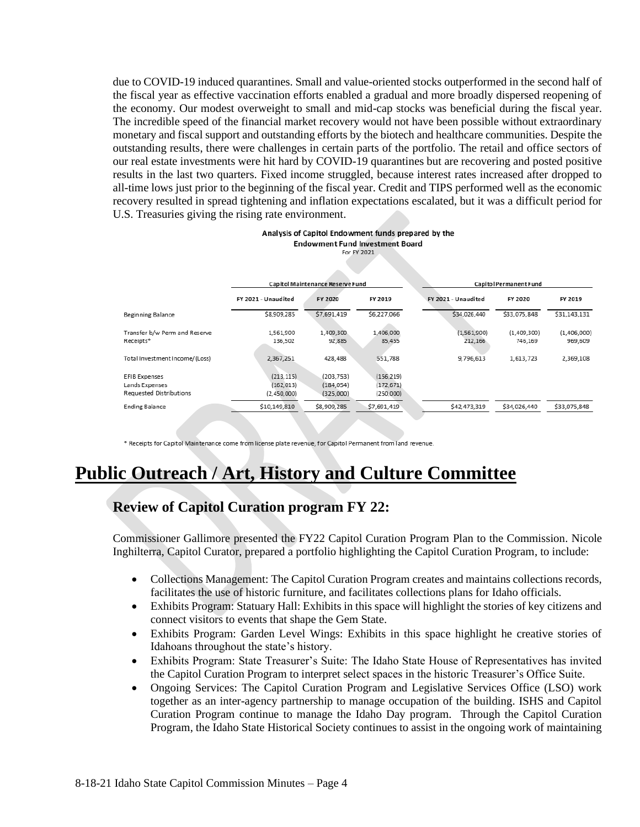due to COVID-19 induced quarantines. Small and value-oriented stocks outperformed in the second half of the fiscal year as effective vaccination efforts enabled a gradual and more broadly dispersed reopening of the economy. Our modest overweight to small and mid-cap stocks was beneficial during the fiscal year. The incredible speed of the financial market recovery would not have been possible without extraordinary monetary and fiscal support and outstanding efforts by the biotech and healthcare communities. Despite the outstanding results, there were challenges in certain parts of the portfolio. The retail and office sectors of our real estate investments were hit hard by COVID-19 quarantines but are recovering and posted positive results in the last two quarters. Fixed income struggled, because interest rates increased after dropped to all-time lows just prior to the beginning of the fiscal year. Credit and TIPS performed well as the economic recovery resulted in spread tightening and inflation expectations escalated, but it was a difficult period for U.S. Treasuries giving the rising rate environment.

#### Analysis of Capitol Endowment funds prepared by the **Endowment Fund Investment Board** For EV 2021

|                                            | Capitol Maintenance Reserve Fund |                         |                         | Capitol Permanent Fund |                        |                        |
|--------------------------------------------|----------------------------------|-------------------------|-------------------------|------------------------|------------------------|------------------------|
|                                            | FY 2021 - Unaudited              | <b>FY 2020</b>          | FY 2019                 | FY 2021 - Unaudited    | <b>FY 2020</b>         | FY 2019                |
| Beginning Balance                          | \$8,909,285                      | \$7,691,419             | \$6,227,066             | \$34,026,440           | \$33,075,848           | \$31,143,131           |
| Transfer b/w Perm and Reserve<br>Receipts* | 1,561,900<br>136,502             | 1,409,300<br>92,885     | 1,406,000<br>85,455     | (1,561,900)<br>212,166 | (1,409,300)<br>746.169 | (1,406,000)<br>969,609 |
| Total Investment Income/(Loss)             | 2,367,251                        | 428,488                 | 551,788                 | 9,796,613              | 1,613,723              | 2,369,108              |
| EFIB Expenses                              | (213, 115)                       | (203, 753)              | (156, 219)              |                        |                        |                        |
| Lands Expenses<br>Requested Distributions  | (162, 013)<br>(2,450,000)        | (184, 054)<br>(325,000) | (172, 671)<br>(250,000) |                        |                        |                        |
| <b>Ending Balance</b>                      | \$10,149,810                     | \$8,909,285             | \$7,691,419             | \$42,473,319           | \$34,026,440           | \$33,075,848           |

\* Receipts for Capitol Maintenance come from license plate revenue, for Capitol Permanent from land revenue

# **Public Outreach / Art, History and Culture Committee**

## **Review of Capitol Curation program FY 22:**

Commissioner Gallimore presented the FY22 Capitol Curation Program Plan to the Commission. Nicole Inghilterra, Capitol Curator, prepared a portfolio highlighting the Capitol Curation Program, to include:

- Collections Management: The Capitol Curation Program creates and maintains collections records, facilitates the use of historic furniture, and facilitates collections plans for Idaho officials.
- Exhibits Program: Statuary Hall: Exhibits in this space will highlight the stories of key citizens and connect visitors to events that shape the Gem State.
- Exhibits Program: Garden Level Wings: Exhibits in this space highlight he creative stories of Idahoans throughout the state's history.
- Exhibits Program: State Treasurer's Suite: The Idaho State House of Representatives has invited the Capitol Curation Program to interpret select spaces in the historic Treasurer's Office Suite.
- Ongoing Services: The Capitol Curation Program and Legislative Services Office (LSO) work together as an inter-agency partnership to manage occupation of the building. ISHS and Capitol Curation Program continue to manage the Idaho Day program. Through the Capitol Curation Program, the Idaho State Historical Society continues to assist in the ongoing work of maintaining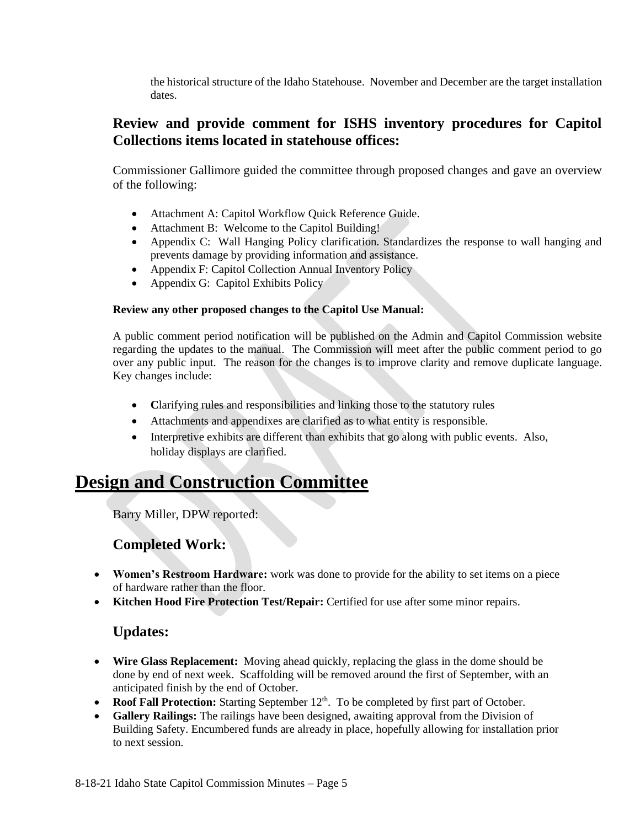the historical structure of the Idaho Statehouse. November and December are the target installation dates.

### **Review and provide comment for ISHS inventory procedures for Capitol Collections items located in statehouse offices:**

Commissioner Gallimore guided the committee through proposed changes and gave an overview of the following:

- Attachment A: Capitol Workflow Quick Reference Guide.
- Attachment B: Welcome to the Capitol Building!
- Appendix C: Wall Hanging Policy clarification. Standardizes the response to wall hanging and prevents damage by providing information and assistance.
- Appendix F: Capitol Collection Annual Inventory Policy
- Appendix G: Capitol Exhibits Policy

#### **Review any other proposed changes to the Capitol Use Manual:**

A public comment period notification will be published on the Admin and Capitol Commission website regarding the updates to the manual. The Commission will meet after the public comment period to go over any public input. The reason for the changes is to improve clarity and remove duplicate language. Key changes include:

- **C**larifying rules and responsibilities and linking those to the statutory rules
- Attachments and appendixes are clarified as to what entity is responsible.
- Interpretive exhibits are different than exhibits that go along with public events. Also, holiday displays are clarified.

# **Design and Construction Committee**

Barry Miller, DPW reported:

## **Completed Work:**

- **Women's Restroom Hardware:** work was done to provide for the ability to set items on a piece of hardware rather than the floor.
- **Kitchen Hood Fire Protection Test/Repair:** Certified for use after some minor repairs.

## **Updates:**

- **Wire Glass Replacement:** Moving ahead quickly, replacing the glass in the dome should be done by end of next week. Scaffolding will be removed around the first of September, with an anticipated finish by the end of October.
- Roof Fall Protection: Starting September 12<sup>th</sup>. To be completed by first part of October.
- **Gallery Railings:** The railings have been designed, awaiting approval from the Division of Building Safety. Encumbered funds are already in place, hopefully allowing for installation prior to next session.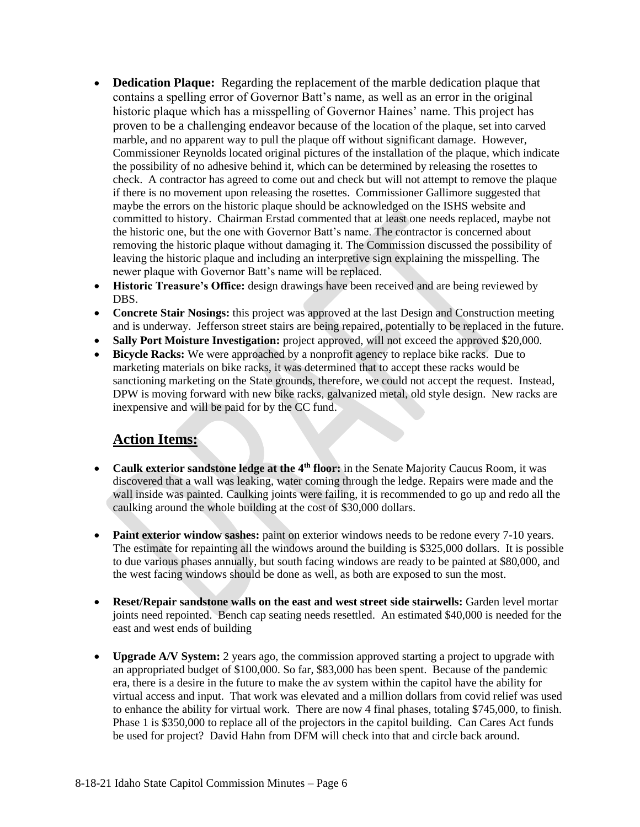- **Dedication Plaque:** Regarding the replacement of the marble dedication plaque that contains a spelling error of Governor Batt's name, as well as an error in the original historic plaque which has a misspelling of Governor Haines' name. This project has proven to be a challenging endeavor because of the location of the plaque, set into carved marble, and no apparent way to pull the plaque off without significant damage. However, Commissioner Reynolds located original pictures of the installation of the plaque, which indicate the possibility of no adhesive behind it, which can be determined by releasing the rosettes to check. A contractor has agreed to come out and check but will not attempt to remove the plaque if there is no movement upon releasing the rosettes. Commissioner Gallimore suggested that maybe the errors on the historic plaque should be acknowledged on the ISHS website and committed to history. Chairman Erstad commented that at least one needs replaced, maybe not the historic one, but the one with Governor Batt's name. The contractor is concerned about removing the historic plaque without damaging it. The Commission discussed the possibility of leaving the historic plaque and including an interpretive sign explaining the misspelling. The newer plaque with Governor Batt's name will be replaced.
- **Historic Treasure's Office:** design drawings have been received and are being reviewed by DBS.
- **Concrete Stair Nosings:** this project was approved at the last Design and Construction meeting and is underway. Jefferson street stairs are being repaired, potentially to be replaced in the future.
- **Sally Port Moisture Investigation:** project approved, will not exceed the approved \$20,000.
- **Bicycle Racks:** We were approached by a nonprofit agency to replace bike racks. Due to marketing materials on bike racks, it was determined that to accept these racks would be sanctioning marketing on the State grounds, therefore, we could not accept the request. Instead, DPW is moving forward with new bike racks, galvanized metal, old style design. New racks are inexpensive and will be paid for by the CC fund.

## **Action Items:**

- **Caulk exterior sandstone ledge at the 4th floor:** in the Senate Majority Caucus Room, it was discovered that a wall was leaking, water coming through the ledge. Repairs were made and the wall inside was painted. Caulking joints were failing, it is recommended to go up and redo all the caulking around the whole building at the cost of \$30,000 dollars.
- **Paint exterior window sashes:** paint on exterior windows needs to be redone every 7-10 years. The estimate for repainting all the windows around the building is \$325,000 dollars. It is possible to due various phases annually, but south facing windows are ready to be painted at \$80,000, and the west facing windows should be done as well, as both are exposed to sun the most.
- **Reset/Repair sandstone walls on the east and west street side stairwells:** Garden level mortar joints need repointed. Bench cap seating needs resettled. An estimated \$40,000 is needed for the east and west ends of building
- **Upgrade A/V System:** 2 years ago, the commission approved starting a project to upgrade with an appropriated budget of \$100,000. So far, \$83,000 has been spent. Because of the pandemic era, there is a desire in the future to make the av system within the capitol have the ability for virtual access and input. That work was elevated and a million dollars from covid relief was used to enhance the ability for virtual work. There are now 4 final phases, totaling \$745,000, to finish. Phase 1 is \$350,000 to replace all of the projectors in the capitol building. Can Cares Act funds be used for project? David Hahn from DFM will check into that and circle back around.